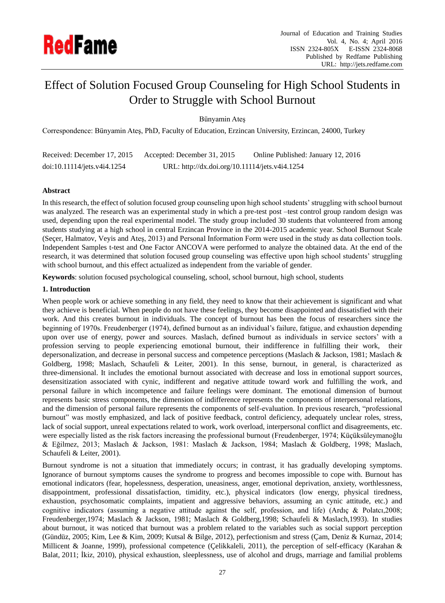

# Effect of Solution Focused Group Counseling for High School Students in Order to Struggle with School Burnout

Bünyamin Ateş

Correspondence: Bünyamin Ateş, PhD, Faculty of Education, Erzincan University, Erzincan, 24000, Turkey

| Received: December 17, 2015 | Accepted: December 31, 2015                    | Online Published: January 12, 2016 |
|-----------------------------|------------------------------------------------|------------------------------------|
| doi:10.11114/jets.v4i4.1254 | URL: http://dx.doi.org/10.11114/jets.v4i4.1254 |                                    |

## **Abstract**

In this research, the effect of solution focused group counseling upon high school students" struggling with school burnout was analyzed. The research was an experimental study in which a pre-test post –test control group random design was used, depending upon the real experimental model. The study group included 30 students that volunteered from among students studying at a high school in central Erzincan Province in the 2014-2015 academic year. School Burnout Scale (Seçer, Halmatov, Veyis and Ateş, 2013) and Personal Information Form were used in the study as data collection tools. Independent Samples t-test and One Factor ANCOVA were performed to analyze the obtained data. At the end of the research, it was determined that solution focused group counseling was effective upon high school students" struggling with school burnout, and this effect actualized as independent from the variable of gender.

**Keywords**: solution focused psychological counseling, school, school burnout, high school, students

## **1. Introduction**

When people work or achieve something in any field, they need to know that their achievement is significant and what they achieve is beneficial. When people do not have these feelings, they become disappointed and dissatisfied with their work. And this creates burnout in individuals. The concept of burnout has been the focus of researchers since the beginning of 1970s. Freudenberger (1974), defined burnout as an individual"s failure, fatigue, and exhaustion depending upon over use of energy, power and sources. Maslach, defined burnout as individuals in service sectors" with a profession serving to people experiencing emotional burnout, their indifference in fulfilling their work, their depersonalization, and decrease in personal success and competence perceptions (Maslach & Jackson, 1981; Maslach & Goldberg, 1998; Maslach, Schaufeli & Leiter, 2001). In this sense, burnout, in general, is characterized as three-dimensional. It includes the emotional burnout associated with decrease and loss in emotional support sources, desensitization associated with cynic, indifferent and negative attitude toward work and fulfilling the work, and personal failure in which incompetence and failure feelings were dominant. The emotional dimension of burnout represents basic stress components, the dimension of indifference represents the components of interpersonal relations, and the dimension of personal failure represents the components of self-evaluation. In previous research, "professional burnout" was mostly emphasized, and lack of positive feedback, control deficiency, adequately unclear roles, stress, lack of social support, unreal expectations related to work, work overload, interpersonal conflict and disagreements, etc. were especially listed as the risk factors increasing the professional burnout (Freudenberger, 1974; Küçüksüleymanoğlu & Eğilmez, 2013; Maslach & Jackson, 1981: Maslach & Jackson, 1984; Maslach & Goldberg, 1998; Maslach, Schaufeli & Leiter, 2001).

Burnout syndrome is not a situation that immediately occurs; in contrast, it has gradually developing symptoms. Ignorance of burnout symptoms causes the syndrome to progress and becomes impossible to cope with. Burnout has emotional indicators (fear, hopelessness, desperation, uneasiness, anger, emotional deprivation, anxiety, worthlessness, disappointment, professional dissatisfaction, timidity, etc.), physical indicators (low energy, physical tiredness, exhaustion, psychosomatic complaints, impatient and aggressive behaviors, assuming an cynic attitude, etc.) and cognitive indicators (assuming a negative attitude against the self, profession, and life) (Ardıç & Polatcı,2008; Freudenberger,1974; Maslach & Jackson, 1981; Maslach & Goldberg,1998; Schaufeli & Maslach,1993). In studies about burnout, it was noticed that burnout was a problem related to the variables such as social support perception (Gündüz, 2005; Kim, Lee & Kim, 2009; Kutsal & Bilge, 2012), perfectionism and stress (Çam, Deniz & Kurnaz, 2014; Millicent & Joanne, 1999), professional competence (Çelikkaleli, 2011), the perception of self-efficacy (Karahan & Balat, 2011; İkiz, 2010), physical exhaustion, sleeplessness, use of alcohol and drugs, marriage and familial problems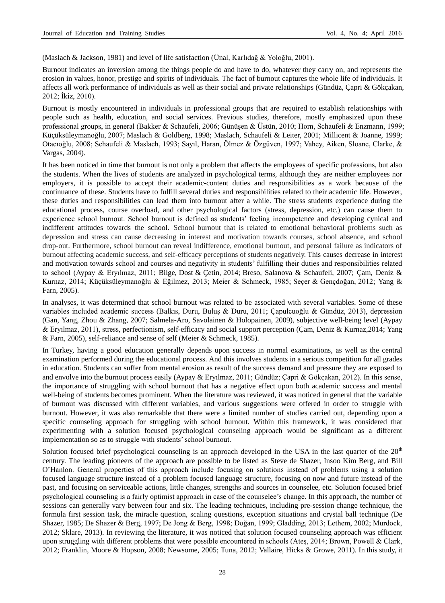(Maslach & Jackson, 1981) and level of life satisfaction (Ünal, Karlıdağ & Yoloğlu, 2001).

Burnout indicates an inversion among the things people do and have to do, whatever they carry on, and represents the erosion in values, honor, prestige and spirits of individuals. The fact of burnout captures the whole life of individuals. It affects all work performance of individuals as well as their social and private relationships (Gündüz, Çapri & Gökçakan, 2012; İkiz, 2010).

Burnout is mostly encountered in individuals in professional groups that are required to establish relationships with people such as health, education, and social services. Previous studies, therefore, mostly emphasized upon these professional groups, in general (Bakker & Schaufeli, 2006; Günüşen & Üstün, 2010; Horn, Schaufeli & Enzmann, 1999; Küçüksüleymanoğlu, 2007; Maslach & Goldberg, 1998; Maslach, Schaufeli & Leiter, 2001; Millicent & Joanne, 1999; Otacıoğlu, 2008; Schaufeli & Maslach, 1993; Sayıl, Haran, Ölmez & Özgüven, 1997; Vahey, Aiken, Sloane, Clarke, & Vargas, 2004).

It has been noticed in time that burnout is not only a problem that affects the employees of specific professions, but also the students. When the lives of students are analyzed in psychological terms, although they are neither employees nor employers, it is possible to accept their academic-content duties and responsibilities as a work because of the continuance of these. Students have to fulfill several duties and responsibilities related to their academic life. However, these duties and responsibilities can lead them into burnout after a while. The stress students experience during the educational process, course overload, and other psychological factors (stress, depression, etc.) can cause them to experience school burnout. School burnout is defined as students" feeling incompetence and developing cynical and indifferent attitudes towards the school. School burnout that is related to emotional behavioral problems such as depression and stress can cause decreasing in interest and motivation towards courses, school absence, and school drop-out. Furthermore, school burnout can reveal indifference, emotional burnout, and personal failure as indicators of burnout affecting academic success, and self-efficacy perceptions of students negatively. This causes decrease in interest and motivation towards school and courses and negativity in students" fulfilling their duties and responsibilities related to school (Aypay & Eryılmaz, 2011; Bilge, Dost & Çetin, 2014; Breso, Salanova & Schaufeli, 2007; Çam, Deniz & Kurnaz, 2014; Küçüksüleymanoğlu & Eğilmez, 2013; Meier & Schmeck, 1985; Seçer & Gençdoğan, 2012; Yang & Farn, 2005).

In analyses, it was determined that school burnout was related to be associated with several variables. Some of these variables included academic success (Balkıs, Duru, Buluş & Duru, 2011; Çapulcuoğlu & Gündüz, 2013), depression (Gan, Yang, Zhou & Zhang, 2007; Salmela-Aro, Savolainen & Holopainen, 2009), subjective well-being level (Aypay & Eryılmaz, 2011), stress, perfectionism, self-efficacy and social support perception (Çam, Deniz & Kurnaz,2014; Yang & Farn, 2005), self-reliance and sense of self (Meier & Schmeck, 1985).

In Turkey, having a good education generally depends upon success in normal examinations, as well as the central examination performed during the educational process. And this involves students in a serious competition for all grades in education. Students can suffer from mental erosion as result of the success demand and pressure they are exposed to and envolve into the burnout process easily (Aypay & Eryılmaz, 2011; Gündüz; Çapri & Gökçakan, 2012). In this sense, the importance of struggling with school burnout that has a negative effect upon both academic success and mental well-being of students becomes prominent. When the literature was reviewed, it was noticed in general that the variable of burnout was discussed with different variables, and various suggestions were offered in order to struggle with burnout. However, it was also remarkable that there were a limited number of studies carried out, depending upon a specific counseling approach for struggling with school burnout. Within this framework, it was considered that experimenting with a solution focused psychological counseling approach would be significant as a different implementation so as to struggle with students' school burnout.

Solution focused brief psychological counseling is an approach developed in the USA in the last quarter of the 20<sup>th</sup> century. The leading pioneers of the approach are possible to be listed as Steve de Shazer, Insoo Kim Berg, and Bill O"Hanlon. General properties of this approach include focusing on solutions instead of problems using a solution focused language structure instead of a problem focused language structure, focusing on now and future instead of the past, and focusing on serviceable actions, little changes, strengths and sources in counselee, etc. Solution focused brief psychological counseling is a fairly optimist approach in case of the counselee"s change. In this approach, the number of sessions can generally vary between four and six. The leading techniques, including pre-session change technique, the formula first session task, the miracle question, scaling questions, exception situations and crystal ball technique (De Shazer, 1985; De Shazer & Berg, 1997; De Jong & Berg, 1998; Doğan, 1999; Gladding, 2013; Lethem, 2002; Murdock, 2012; Sklare, 2013). In reviewing the literature, it was noticed that solution focused counseling approach was efficient upon struggling with different problems that were possible encountered in schools (Ateş, 2014; Brown, Powell & Clark, 2012; Franklin, Moore & Hopson, 2008; Newsome, 2005; Tuna, 2012; Vallaire, Hicks & Growe, 2011). In this study, it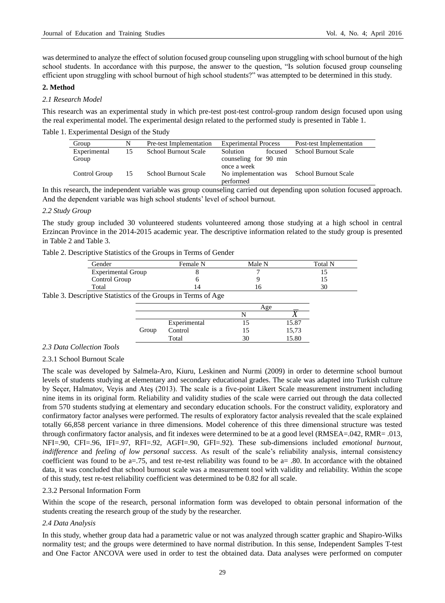was determined to analyze the effect of solution focused group counseling upon struggling with school burnout of the high school students. In accordance with this purpose, the answer to the question, "Is solution focused group counseling efficient upon struggling with school burnout of high school students?" was attempted to be determined in this study.

## **2. Method**

#### *2.1 Research Model*

This research was an experimental study in which pre-test post-test control-group random design focused upon using the real experimental model. The experimental design related to the performed study is presented in Table 1.

Table 1. Experimental Design of the Study

| Group         | N  | Pre-test Implementation     | <b>Experimental Process</b> |         |                                            |  | Post-test Implementation |
|---------------|----|-----------------------------|-----------------------------|---------|--------------------------------------------|--|--------------------------|
| Experimental  | 15 | <b>School Burnout Scale</b> | <b>Solution</b>             | focused | School Burnout Scale                       |  |                          |
| Group         |    |                             | counseling for 90 min       |         |                                            |  |                          |
|               |    |                             | once a week                 |         |                                            |  |                          |
| Control Group | 15 | School Burnout Scale        |                             |         | No implementation was School Burnout Scale |  |                          |
|               |    |                             | performed                   |         |                                            |  |                          |

In this research, the independent variable was group counseling carried out depending upon solution focused approach. And the dependent variable was high school students" level of school burnout.

#### *2.2 Study Group*

The study group included 30 volunteered students volunteered among those studying at a high school in central Erzincan Province in the 2014-2015 academic year. The descriptive information related to the study group is presented in Table 2 and Table 3.

|  | Table 2. Descriptive Statistics of the Groups in Terms of Gender |  |  |  |
|--|------------------------------------------------------------------|--|--|--|
|--|------------------------------------------------------------------|--|--|--|

| Gender                    | Female N | Male N | Total N |
|---------------------------|----------|--------|---------|
| <b>Experimental Group</b> |          |        |         |
| Control Group             |          |        |         |
| Total                     |          |        | 30      |

Table 3. Descriptive Statistics of the Groups in Terms of Age

|       |              | Age |       |
|-------|--------------|-----|-------|
|       |              |     |       |
|       | Experimental |     | 15.87 |
| Group | Control      |     | 15,73 |
|       | Total        | 31  | 15.80 |

#### *2.3 Data Collection Tools*

#### 2.3.1 School Burnout Scale

The scale was developed by Salmela-Aro, Kiuru, Leskinen and Nurmi (2009) in order to determine school burnout levels of students studying at elementary and secondary educational grades. The scale was adapted into Turkish culture by Seçer, Halmatov, Veyis and Ateş (2013). The scale is a five-point Likert Scale measurement instrument including nine items in its original form. Reliability and validity studies of the scale were carried out through the data collected from 570 students studying at elementary and secondary education schools. For the construct validity, exploratory and confirmatory factor analyses were performed. The results of exploratory factor analysis revealed that the scale explained totally 66,858 percent variance in three dimensions. Model coherence of this three dimensional structure was tested through confirmatory factor analysis, and fit indexes were determined to be at a good level (RMSEA=.042, RMR= .013, NFI=.90, CFI=.96, IFI=.97, RFI=.92, AGFI=.90, GFI=.92). These sub-dimensions included *emotional burnout, indifference* and *feeling of low personal success*. As result of the scale's reliability analysis, internal consistency coefficient was found to be a=.75, and test re-test reliability was found to be a= .80. In accordance with the obtained data, it was concluded that school burnout scale was a measurement tool with validity and reliability. Within the scope of this study, test re-test reliability coefficient was determined to be 0.82 for all scale.

#### 2.3.2 Personal Information Form

Within the scope of the research, personal information form was developed to obtain personal information of the students creating the research group of the study by the researcher.

#### *2.4 Data Analysis*

In this study, whether group data had a parametric value or not was analyzed through scatter graphic and Shapiro-Wilks normality test; and the groups were determined to have normal distribution. In this sense, Independent Samples T-test and One Factor ANCOVA were used in order to test the obtained data. Data analyses were performed on computer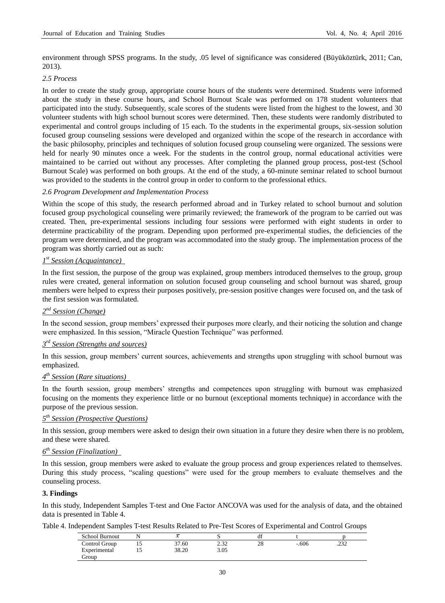environment through SPSS programs. In the study, .05 level of significance was considered (Büyüköztürk, 2011; Can, 2013).

## *2.5 Process*

In order to create the study group, appropriate course hours of the students were determined. Students were informed about the study in these course hours, and School Burnout Scale was performed on 178 student volunteers that participated into the study. Subsequently, scale scores of the students were listed from the highest to the lowest, and 30 volunteer students with high school burnout scores were determined. Then, these students were randomly distributed to experimental and control groups including of 15 each. To the students in the experimental groups, six-session solution focused group counseling sessions were developed and organized within the scope of the research in accordance with the basic philosophy, principles and techniques of solution focused group counseling were organized. The sessions were held for nearly 90 minutes once a week. For the students in the control group, normal educational activities were maintained to be carried out without any processes. After completing the planned group process, post-test (School Burnout Scale) was performed on both groups. At the end of the study, a 60-minute seminar related to school burnout was provided to the students in the control group in order to conform to the professional ethics.

#### *2.6 Program Development and Implementation Process*

Within the scope of this study, the research performed abroad and in Turkey related to school burnout and solution focused group psychological counseling were primarily reviewed; the framework of the program to be carried out was created. Then, pre-experimental sessions including four sessions were performed with eight students in order to determine practicability of the program. Depending upon performed pre-experimental studies, the deficiencies of the program were determined, and the program was accommodated into the study group. The implementation process of the program was shortly carried out as such:

## *1 st Session (Acquaintance)*

In the first session, the purpose of the group was explained, group members introduced themselves to the group, group rules were created, general information on solution focused group counseling and school burnout was shared, group members were helped to express their purposes positively, pre-session positive changes were focused on, and the task of the first session was formulated.

## *2 nd Session (Change)*

In the second session, group members" expressed their purposes more clearly, and their noticing the solution and change were emphasized. In this session, "Miracle Question Technique" was performed.

## *3 rd Session (Strengths and sources)*

In this session, group members" current sources, achievements and strengths upon struggling with school burnout was emphasized.

## *4 th Session* (*Rare situations)*

In the fourth session, group members" strengths and competences upon struggling with burnout was emphasized focusing on the moments they experience little or no burnout (exceptional moments technique) in accordance with the purpose of the previous session.

## *5 th Session (Prospective Questions)*

In this session, group members were asked to design their own situation in a future they desire when there is no problem, and these were shared.

## *6 th Session (Finalization)*

In this session, group members were asked to evaluate the group process and group experiences related to themselves. During this study process, "scaling questions" were used for the group members to evaluate themselves and the counseling process.

## **3. Findings**

In this study, Independent Samples T-test and One Factor ANCOVA was used for the analysis of data, and the obtained data is presented in Table 4.

Table 4. Independent Samples T-test Results Related to Pre-Test Scores of Experimental and Control Groups

| School Burnout         |       | ⊢                     | u. |         |                 |
|------------------------|-------|-----------------------|----|---------|-----------------|
| Control Group          | 37.60 | $\sim$ $\sim$<br>ے بہ | 28 | $-.606$ | $\sim$<br>ے رے۔ |
| Experimental<br>diroup | 38.20 | 3.05                  |    |         |                 |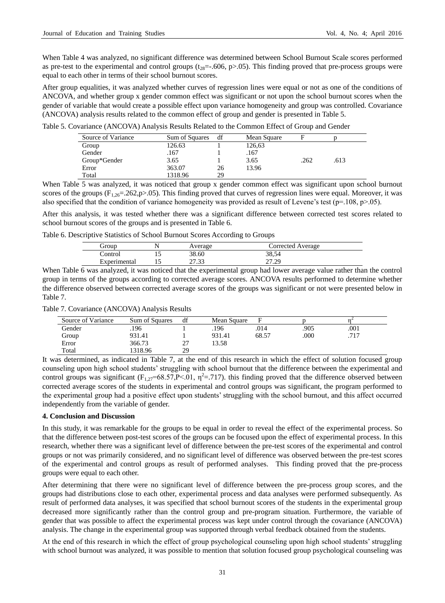When Table 4 was analyzed, no significant difference was determined between School Burnout Scale scores performed as pre-test to the experimental and control groups  $(t_{28}=-.606, p>0.05)$ . This finding proved that pre-process groups were equal to each other in terms of their school burnout scores.

After group equalities, it was analyzed whether curves of regression lines were equal or not as one of the conditions of ANCOVA, and whether group x gender common effect was significant or not upon the school burnout scores when the gender of variable that would create a possible effect upon variance homogeneity and group was controlled. Covariance (ANCOVA) analysis results related to the common effect of group and gender is presented in Table 5.

| Source of Variance | Sum of Squares | df | Mean Square |      |      |
|--------------------|----------------|----|-------------|------|------|
| Group              | 126.63         |    | 126,63      |      |      |
| Gender             | .167           |    | .167        |      |      |
| Group*Gender       | 3.65           |    | 3.65        | .262 | .613 |
| Error              | 363.07         | 26 | 13.96       |      |      |
| Total              | 1318.96        | 29 |             |      |      |

When Table 5 was analyzed, it was noticed that group x gender common effect was significant upon school burnout scores of the groups  $(F_{1,26}=.262,p>.05)$ . This finding proved that curves of regression lines were equal. Moreover, it was also specified that the condition of variance homogeneity was provided as result of Levene's test ( $p=108$ ,  $p>05$ ).

After this analysis, it was tested whether there was a significant difference between corrected test scores related to school burnout scores of the groups and is presented in Table 6.

Table 6. Descriptive Statistics of School Burnout Scores According to Groups

| .irour       | Average | Corrected Average |
|--------------|---------|-------------------|
| Control      | 38.60   | 38,54             |
| Experimental | 27.33   | າາ າດ<br>ر ے ، اے |

When Table 6 was analyzed, it was noticed that the experimental group had lower average value rather than the control group in terms of the groups according to corrected average scores. ANCOVA results performed to determine whether the difference observed between corrected average scores of the groups was significant or not were presented below in Table 7.

Table 7. Covariance (ANCOVA) Analysis Results

| Source of Variance | Sum of Squares | df | Mean Square | F     |      |      |  |
|--------------------|----------------|----|-------------|-------|------|------|--|
| Gender             | .196           |    | .196        | .014  | .905 | .001 |  |
| Group              | 931.41         |    | 931.41      | 68.57 | .000 | 717  |  |
| Error              | 366.73         | ົ  | 13.58       |       |      |      |  |
| Total              | 1318.96        | 29 |             |       |      |      |  |

It was determined, as indicated in Table 7, at the end of this research in which the effect of solution focused group counseling upon high school students" struggling with school burnout that the difference between the experimental and control groups was significant  $(F_{1,27} = 68.57, P \le 0.01, \eta^2 = .717)$ . this finding proved that the difference observed between corrected average scores of the students in experimental and control groups was significant, the program performed to the experimental group had a positive effect upon students" struggling with the school burnout, and this affect occurred independently from the variable of gender.

## **4. Conclusion and Discussion**

In this study, it was remarkable for the groups to be equal in order to reveal the effect of the experimental process. So that the difference between post-test scores of the groups can be focused upon the effect of experimental process. In this research, whether there was a significant level of difference between the pre-test scores of the experimental and control groups or not was primarily considered, and no significant level of difference was observed between the pre-test scores of the experimental and control groups as result of performed analyses. This finding proved that the pre-process groups were equal to each other.

After determining that there were no significant level of difference between the pre-process group scores, and the groups had distributions close to each other, experimental process and data analyses were performed subsequently. As result of performed data analyses, it was specified that school burnout scores of the students in the experimental group decreased more significantly rather than the control group and pre-program situation. Furthermore, the variable of gender that was possible to affect the experimental process was kept under control through the covariance (ANCOVA) analysis. The change in the experimental group was supported through verbal feedback obtained from the students.

At the end of this research in which the effect of group psychological counseling upon high school students" struggling with school burnout was analyzed, it was possible to mention that solution focused group psychological counseling was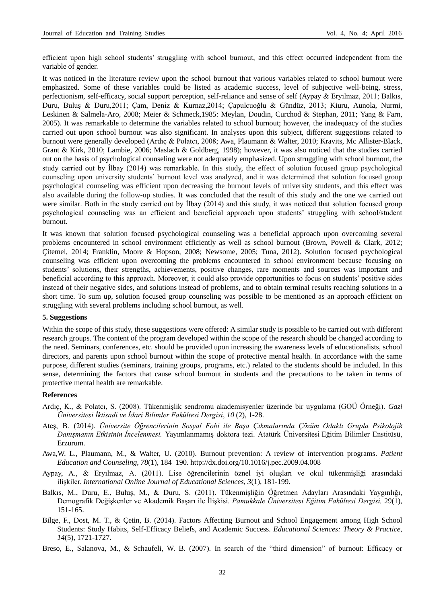efficient upon high school students" struggling with school burnout, and this effect occurred independent from the variable of gender.

It was noticed in the literature review upon the school burnout that various variables related to school burnout were emphasized. Some of these variables could be listed as academic success, level of subjective well-being, stress, perfectionism, self-efficacy, social support perception, self-reliance and sense of self (Aypay & Eryılmaz, 2011; Balkıs, Duru, Buluş & Duru,2011; Çam, Deniz & Kurnaz,2014; Çapulcuoğlu & Gündüz, 2013; Kiuru, Aunola, Nurmi, Leskinen & Salmela-Aro, 2008; Meier & Schmeck,1985: Meylan, Doudin, Curchod & Stephan, 2011; Yang & Farn, 2005). It was remarkable to determine the variables related to school burnout; however, the inadequacy of the studies carried out upon school burnout was also significant. In analyses upon this subject, different suggestions related to burnout were generally developed (Ardıç & Polatcı, 2008; Awa, Plaumann & Walter, 2010; Kravits, Mc Allister-Black, Grant & Kirk, 2010; Lambie, 2006; Maslach & Goldberg, 1998); however, it was also noticed that the studies carried out on the basis of psychological counseling were not adequately emphasized. Upon struggling with school burnout, the study carried out by İlbay (2014) was remarkable. In this study, the effect of solution focused group psychological counseling upon university students" burnout level was analyzed, and it was determined that solution focused group psychological counseling was efficient upon decreasing the burnout levels of university students, and this effect was also available during the follow-up studies. It was concluded that the result of this study and the one we carried out were similar. Both in the study carried out by İlbay (2014) and this study, it was noticed that solution focused group psychological counseling was an efficient and beneficial approach upon students" struggling with school/student burnout.

It was known that solution focused psychological counseling was a beneficial approach upon overcoming several problems encountered in school environment efficiently as well as school burnout (Brown, Powell & Clark, 2012; Çitemel, 2014; Franklin, Moore & Hopson, 2008; Newsome, 2005; Tuna, 2012). Solution focused psychological counseling was efficient upon overcoming the problems encountered in school environment because focusing on students" solutions, their strengths, achievements, positive changes, rare moments and sources was important and beneficial according to this approach. Moreover, it could also provide opportunities to focus on students" positive sides instead of their negative sides, and solutions instead of problems, and to obtain terminal results reaching solutions in a short time. To sum up, solution focused group counseling was possible to be mentioned as an approach efficient on struggling with several problems including school burnout, as well.

#### **5. Suggestions**

Within the scope of this study, these suggestions were offered: A similar study is possible to be carried out with different research groups. The content of the program developed within the scope of the research should be changed according to the need. Seminars, conferences, etc. should be provided upon increasing the awareness levels of educationalists, school directors, and parents upon school burnout within the scope of protective mental health. In accordance with the same purpose, different studies (seminars, training groups, programs, etc.) related to the students should be included. In this sense, determining the factors that cause school burnout in students and the precautions to be taken in terms of protective mental health are remarkable.

#### **References**

- Ardıç, K., & Polatcı, S. (2008). Tükenmişlik sendromu akademisyenler üzerinde bir uygulama (GOÜ Örneği). *Gazi Üniversitesi İktisadi ve İdari Bilimler Fakültesi Dergisi*, *10* (2), 1-28.
- Ateş, B. (2014). *Üniversite Öğrencilerinin Sosyal Fobi ile Başa Çıkmalarında Çözüm Odaklı Grupla Psikolojik Danışmanın Etkisinin İncelenmesi.* Yayımlanmamış doktora tezi. Atatürk Üniversitesi Eğitim Bilimler Enstitüsü, Erzurum.
- Awa,W. L., Plaumann, M., & Walter, U. (2010). Burnout prevention: A review of intervention programs. *Patient Education and Counseling*, *78*(1), 184–190. http://dx.doi.org/10.1016/j.pec.2009.04.008
- Aypay, A., & Eryılmaz, A. (2011). Lise öğrencilerinin öznel iyi oluşları ve okul tükenmişliği arasındaki ilişkiler. *International Online Journal of Educational Sciences*, *3*(1), 181-199.
- Balkıs, M., Duru, E., Buluş, M., & Duru, S. (2011). Tükenmişliğin Öğretmen Adayları Arasındaki Yaygınlığı, Demografik Değişkenler ve Akademik Başarı ile İlişkisi. *Pamukkale Üniversitesi Eğitim Fakültesi Dergisi,* 29(1), 151-165.
- Bilge, F., Dost, M. T., & Çetin, B. (2014). Factors Affecting Burnout and School Engagement among High School Students: Study Habits, Self-Efficacy Beliefs, and Academic Success. *Educational Sciences: Theory & Practice*, *14*(5), 1721-1727.
- Breso, E., Salanova, M., & Schaufeli, W. B. (2007). In search of the "third dimension" of burnout: Efficacy or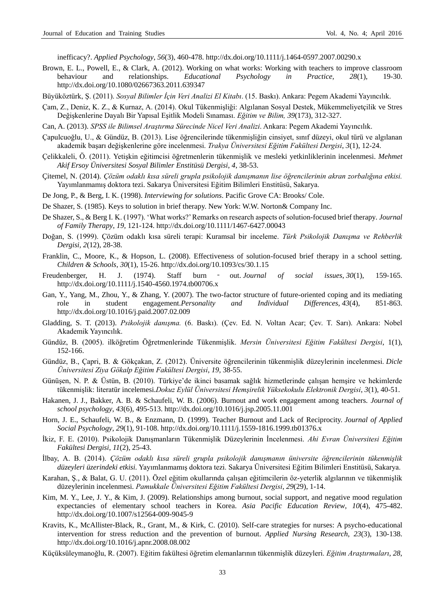inefficacy?. *Applied Psychology*, *56*(3), 460-478[. http://dx.doi.org/10.1111/j.1464-0597.2007.00290.x](http://dx.doi.org/10.1111/j.1464-0597.2007.00290.x)

- Brown, E. L., Powell, E., & Clark, A. (2012). Working on what works: Working with teachers to improve classroom behaviour and relationships. *Educational Psychology in Practice, 28*(1), 19-30. <http://dx.doi.org/10.1080/02667363.2011.639347>
- Büyüköztürk, Ş. (2011). *Sosyal Bilimler İçin Veri Analizi El Kitabı*. (15. Baskı). Ankara: Pegem Akademi Yayıncılık.
- Çam, Z., Deniz, K. Z., & Kurnaz, A. (2014). Okul Tükenmişliği: Algılanan Sosyal Destek, Mükemmeliyetçilik ve Stres Değişkenlerine Dayalı Bir Yapısal Eşitlik Modeli Sınaması. *Eğitim ve Bilim, 39*(173), 312-327.
- Can, A. (2013). *SPSS ile Bilimsel Araştırma Sürecinde Nicel Veri Analizi*. Ankara: Pegem Akademi Yayıncılık.
- Çapulcuoğlu, U., & Gündüz, B. (2013). Lise öğrencilerinde tükenmişliğin cinsiyet, sınıf düzeyi, okul türü ve algılanan akademik başarı değişkenlerine göre incelenmesi. *Trakya Üniversitesi Eğitim Fakültesi Dergisi*, *3*(1), 12-24.
- Çelikkaleli, Ö. (2011). Yetişkin eğitimcisi öğretmenlerin tükenmişlik ve mesleki yetkinliklerinin incelenmesi. *Mehmet Akif Ersoy Üniversitesi Sosyal Bilimler Enstitüsü Dergisi*, *4*, 38-53.
- Çitemel, N. (2014). *Çözüm odaklı kısa süreli grupla psikolojik danışmanın lise öğrencilerinin akran zorbalığına etkisi.* Yayımlanmamış doktora tezi. Sakarya Üniversitesi Eğitim Bilimleri Enstitüsü, Sakarya.
- De Jong, P., & Berg, I. K. (1998). *Interviewing for solutions*. Pacific Grove CA: Brooks/ Cole.
- De Shazer, S. (1985). Keys to solution in brief therapy. New York: W.W. Norton& Company Inc.
- De Shazer, S., & Berg I. K. (1997). "What works?" Remarks on research aspects of solution-focused brief therapy*. Journal of Family Therapy*, *19,* 121-124. <http://dx.doi.org/10.1111/1467-6427.00043>
- Doğan, S. (1999). Çözüm odaklı kısa süreli terapi: Kuramsal bir inceleme. *Türk Psikolojik Danışma ve Rehberlik Dergisi, 2*(12), 28-38.
- Franklin, C., Moore, K., & Hopson, L. (2008). Effectiveness of solution-focused brief therapy in a school setting. *Children & Schools*, *30*(1), 15-26. <http://dx.doi.org/10.1093/cs/30.1.15>
- Freudenberger, H. J. (1974). Staff burn ‐ out. *Journal of social issues*, *30*(1), 159-165. <http://dx.doi.org/10.1111/j.1540-4560.1974.tb00706.x>
- Gan, Y., Yang, M., Zhou, Y., & Zhang, Y. (2007). The two-factor structure of future-oriented coping and its mediating role in student engagement.*Personality and Individual Differences*, *43*(4), 851-863. <http://dx.doi.org/10.1016/j.paid.2007.02.009>
- Gladding, S. T. (2013). *Psikolojik danışma.* (6. Baskı). (Çev. Ed. N. Voltan Acar; Çev. T. Sarı). Ankara: Nobel Akademik Yayıncılık.
- Gündüz, B. (2005). ilköğretim Öğretmenlerinde Tükenmişlik. *Mersin Üniversitesi Eğitim Fakültesi Dergisi*, 1(1), 152-166.
- Gündüz, B., Çapri, B. & Gökçakan, Z. (2012). Üniversite öğrencilerinin tükenmişlik düzeylerinin incelenmesi. *Dicle Üniversitesi Ziya Gökalp Eğitim Fakültesi Dergisi*, *19*, 38-55.
- Günüşen, N. P. & Üstün, B. (2010). Türkiye"de ikinci basamak sağlık hizmetlerinde çalışan hemşire ve hekimlerde tükenmişlik: literatür incelemesi.*Dokuz Eylül Üniversitesi Hemşirelik Yüksekokulu Elektronik Dergisi*, *3*(1), 40-51.
- Hakanen, J. J., Bakker, A. B. & Schaufeli, W. B. (2006). Burnout and work engagement among teachers. *Journal of school psychology*, *43*(6), 495-513. <http://dx.doi.org/10.1016/j.jsp.2005.11.001>
- Horn, J. E., Schaufeli, W. B., & Enzmann, D. (1999). Teacher Burnout and Lack of Reciprocity. *Journal of Applied Social Psychology*, *29*(1), 91-108.<http://dx.doi.org/10.1111/j.1559-1816.1999.tb01376.x>
- İkiz, F. E. (2010). Psikolojik Danışmanların Tükenmişlik Düzeylerinin İncelenmesi. *Ahi Evran Üniversitesi Eğitim Fakültesi Dergisi, 11*(2), 25-43.
- İlbay, A. B. (2014). *Çözüm odaklı kısa süreli grupla psikolojik danışmanın üniversite öğrencilerinin tükenmişlik düzeyleri üzerindeki etkisi.* Yayımlanmamış doktora tezi. Sakarya Üniversitesi Eğitim Bilimleri Enstitüsü, Sakarya.
- Karahan, Ş., & Balat, G. U. (2011). Özel eğitim okullarında çalışan eğitimcilerin öz-yeterlik algılarının ve tükenmişlik düzeylerinin incelenmesi. *Pamukkale Üniversitesi Eğitim Fakültesi Dergisi*, *29*(29), 1-14.
- Kim, M. Y., Lee, J. Y., & Kim, J. (2009). Relationships among burnout, social support, and negative mood regulation expectancies of elementary school teachers in Korea. *Asia Pacific Education Review*, *10*(4), 475-482. <http://dx.doi.org/10.1007/s12564-009-9045-9>
- Kravits, K., McAllister-Black, R., Grant, M., & Kirk, C. (2010). Self-care strategies for nurses: A psycho-educational intervention for stress reduction and the prevention of burnout. *Applied Nursing Research*, *23*(3), 130-138. <http://dx.doi.org/10.1016/j.apnr.2008.08.002>
- Küçüksüleymanoğlu, R. (2007). Eğitim fakültesi öğretim elemanlarının tükenmişlik düzeyleri. *Eğitim Araştırmaları*, *28*,